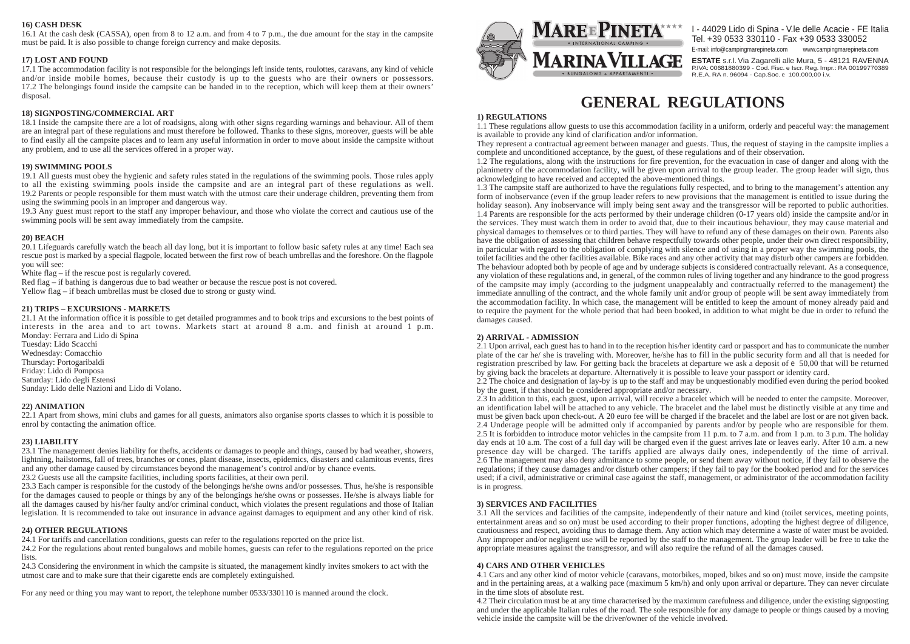# **16) CASH DESK**

16.1 At the cash desk (CASSA), open from 8 to 12 a.m. and from 4 to 7 p.m., the due amount for the stay in the campsite must be paid. It is also possible to change foreign currency and make deposits.

# **17) LOST AND FOUND**

17.1 The accommodation facility is not responsible for the belongings left inside tents, roulottes, caravans, any kind of vehicle and/or inside mobile homes, because their custody is up to the guests who are their owners or possessors. 17.2 The belongings found inside the campsite can be handed in to the reception, which will keep them at their owners' disposal.

# **18) SIGNPOSTING/COMMERCIAL ART**

18.1 Inside the campsite there are a lot of roadsigns, along with other signs regarding warnings and behaviour. All of them are an integral part of these regulations and must therefore be followed. Thanks to these signs, moreover, guests will be able to find easily all the campsite places and to learn any useful information in order to move about inside the campsite without any problem, and to use all the services offered in a proper way.

# **19) SWIMMING POOLS**

19.1 All guests must obey the hygienic and safety rules stated in the regulations of the swimming pools. Those rules apply to all the existing swimming pools inside the campsite and are an integral part of these regulations as well. 19.2 Parents or people responsible for them must watch with the utmost care their underage children, preventing them from using the swimming pools in an improper and dangerous way.

19.3 Any guest must report to the staff any improper behaviour, and those who violate the correct and cautious use of the swimming pools will be sent away immediately from the campsite.

## **20) BEACH**

20.1 Lifeguards carefully watch the beach all day long, but it is important to follow basic safety rules at any time! Each sea rescue post is marked by a special flagpole, located between the first row of beach umbrellas and the foreshore. On the flagpole you will see:

White flag – if the rescue post is regularly covered.

Red flag – if bathing is dangerous due to bad weather or because the rescue post is not covered.

Yellow flag – if beach umbrellas must be closed due to strong or gusty wind.

## **21) TRIPS – EXCURSIONS - MARKETS**

21.1 At the information office it is possible to get detailed programmes and to book trips and excursions to the best points of interests in the area and to art towns. Markets start at around 8 a.m. and finish at around 1 p.m. Monday: Ferrara and Lido di Spina

Tuesday: Lido Scacchi Wednesday: Comacchio Thursday: Portogaribaldi Friday: Lido di Pomposa Saturday: Lido degli Estensi Sunday: Lido delle Nazioni and Lido di Volano.

## **22) ANIMATION**

22.1 Apart from shows, mini clubs and games for all guests, animators also organise sports classes to which it is possible to enrol by contacting the animation office.

## **23) LIABILITY**

23.1 The management denies liability for thefts, accidents or damages to people and things, caused by bad weather, showers, lightning, hailstorms, fall of trees, branches or cones, plant disease, insects, epidemics, disasters and calamitous events, fires and any other damage caused by circumstances beyond the management's control and/or by chance events. 23.2 Guests use all the campsite facilities, including sports facilities, at their own peril.

23.3 Each camper is responsible for the custody of the belongings he/she owns and/or possesses. Thus, he/she is responsible for the damages caused to people or things by any of the belongings he/she owns or possesses. He/she is always liable for all the damages caused by his/her faulty and/or criminal conduct, which violates the present regulations and those of Italian legislation. It is recommended to take out insurance in advance against damages to equipment and any other kind of risk.

## **24) OTHER REGULATIONS**

24.1 For tariffs and cancellation conditions, guests can refer to the regulations reported on the price list.

24.2 For the regulations about rented bungalows and mobile homes, guests can refer to the regulations reported on the price lists.

24.3 Considering the environment in which the campsite is situated, the management kindly invites smokers to act with the utmost care and to make sure that their cigarette ends are completely extinguished.

For any need or thing you may want to report, the telephone number 0533/330110 is manned around the clock.



# **GENERAL REGULATIONS**

**ESTATE** s.r.l. Via Zagarelli alle Mura, 5 - 48121 RAVENNA P.IVA: 00681880399 - Cod. Fisc. e Iscr. Reg. Impr.: RA 00199770389 R.E.A. RA n. 96094 - Cap.Soc. e 100.000,00 i.v.

E-mail: info@campingmarepineta.com www.campingmarepineta.com

I - 44029 Lido di Spina - V.le delle Acacie - FE Italia Tel. +39 0533 330110 - Fax +39 0533 330052

# **1) REGULATIONS**

1.1 These regulations allow guests to use this accommodation facility in a uniform, orderly and peaceful way: the management is available to provide any kind of clarification and/or information. They represent a contractual agreement between manager and guests. Thus, the request of staying in the campsite implies a complete and unconditioned acceptance, by the guest, of these regulations and of their observation. 1.2 The regulations, along with the instructions for fire prevention, for the evacuation in case of danger and along with the planimetry of the accommodation facility, will be given upon arrival to the group leader. The group leader will sign, thus acknowledging to have received and accepted the above-mentioned things. 1.3 The campsite staff are authorized to have the regulations fully respected, and to bring to the management's attention any form of inobservance (even if the group leader refers to new provisions that the management is entitled to issue during the holiday season). Any inobservance will imply being sent away and the transgressor will be reported to public authorities. 1.4 Parents are responsible for the acts performed by their underage children (0-17 years old) inside the campsite and/or in the services. They must watch them in order to avoid that, due to their incautious behaviour, they may cause material and physical damages to themselves or to third parties. They will have to refund any of these damages on their own. Parents also have the obligation of assessing that children behave respectfully towards other people, under their own direct responsibility, in particular with regard to the obligation of complying with silence and of using in a proper way the swimming pools, the toilet facilities and the other facilities available. Bike races and any other activity that may disturb other campers are forbidden. The behaviour adopted both by people of age and by underage subjects is considered contractually relevant. As a consequence, any violation of these regulations and, in general, of the common rules of living together and any hindrance to the good progress of the campsite may imply (according to the judgment unappealably and contractually referred to the management) the immediate annulling of the contract, and the whole family unit and/or group of people will be sent away immediately from the accommodation facility. In which case, the management will be entitled to keep the amount of money already paid and to require the payment for the whole period that had been booked, in addition to what might be due in order to refund the damages caused.

## **2) ARRIVAL - ADMISSION**

2.1 Upon arrival, each guest has to hand in to the reception his/her identity card or passport and has to communicate the number plate of the car he/ she is traveling with. Moreover, he/she has to fill in the public security form and all that is needed for registration prescribed by law. For getting back the bracelets at departure we ask a deposit of e 50,00 that will be returned by giving back the bracelets at departure. Alternatively it is possible to leave your passport or identity card. 2.2 The choice and designation of lay-by is up to the staff and may be unquestionably modified even during the period booked by the guest, if that should be considered appropriate and/or necessary. 2.3 In addition to this, each guest, upon arrival, will receive a bracelet which will be needed to enter the campsite. Moreover, an identification label will be attached to any vehicle. The bracelet and the label must be distinctly visible at any time and must be given back upon check-out. A 20 euro fee will be charged if the bracelet and the label are lost or are not given back. 2.4 Underage people will be admitted only if accompanied by parents and/or by people who are responsible for them. 2.5 It is forbidden to introduce motor vehicles in the campsite from 11 p.m. to 7 a.m. and from 1 p.m. to 3 p.m. The holiday day ends at 10 a.m. The cost of a full day will be charged even if the guest arrives late or leaves early. After 10 a.m. a new presence day will be charged. The tariffs applied are always daily ones, independently of the time of arrival. 2.6 The management may also deny admittance to some people, or send them away without notice, if they fail to observe the regulations; if they cause damages and/or disturb other campers; if they fail to pay for the booked period and for the services used; if a civil, administrative or criminal case against the staff, management, or administrator of the accommodation facility is in progress.

## **3) SERVICES AND FACILITIES**

3.1 All the services and facilities of the campsite, independently of their nature and kind (toilet services, meeting points, entertainment areas and so on) must be used according to their proper functions, adopting the highest degree of diligence, cautiousness and respect, avoiding thus to damage them. Any action which may determine a waste of water must be avoided. Any improper and/or negligent use will be reported by the staff to the management. The group leader will be free to take the appropriate measures against the transgressor, and will also require the refund of all the damages caused.

## **4) CARS AND OTHER VEHICLES**

4.1 Cars and any other kind of motor vehicle (caravans, motorbikes, moped, bikes and so on) must move, inside the campsite and in the pertaining areas, at a walking pace (maximum 5 km/h) and only upon arrival or departure. They can never circulate in the time slots of absolute rest.

4.2 Their circulation must be at any time characterised by the maximum carefulness and diligence, under the existing signposting and under the applicable Italian rules of the road. The sole responsible for any damage to people or things caused by a moving vehicle inside the campsite will be the driver/owner of the vehicle involved.